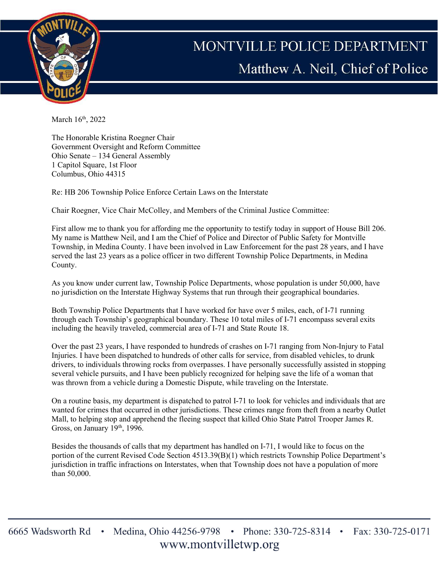

## MONTVILLE POLICE DEPARTMENT Matthew A. Neil, Chief of Police

March 16<sup>th</sup>, 2022

The Honorable Kristina Roegner Chair Government Oversight and Reform Committee Ohio Senate – 134 General Assembly 1 Capitol Square, 1st Floor Columbus, Ohio 44315

Re: HB 206 Township Police Enforce Certain Laws on the Interstate

Chair Roegner, Vice Chair McColley, and Members of the Criminal Justice Committee:

First allow me to thank you for affording me the opportunity to testify today in support of House Bill 206. My name is Matthew Neil, and I am the Chief of Police and Director of Public Safety for Montville Township, in Medina County. I have been involved in Law Enforcement for the past 28 years, and I have served the last 23 years as a police officer in two different Township Police Departments, in Medina County.

As you know under current law, Township Police Departments, whose population is under 50,000, have no jurisdiction on the Interstate Highway Systems that run through their geographical boundaries.

Both Township Police Departments that I have worked for have over 5 miles, each, of I-71 running through each Township's geographical boundary. These 10 total miles of I-71 encompass several exits including the heavily traveled, commercial area of I-71 and State Route 18.

Over the past 23 years, I have responded to hundreds of crashes on I-71 ranging from Non-Injury to Fatal Injuries. I have been dispatched to hundreds of other calls for service, from disabled vehicles, to drunk drivers, to individuals throwing rocks from overpasses. I have personally successfully assisted in stopping several vehicle pursuits, and I have been publicly recognized for helping save the life of a woman that was thrown from a vehicle during a Domestic Dispute, while traveling on the Interstate.

On a routine basis, my department is dispatched to patrol I-71 to look for vehicles and individuals that are wanted for crimes that occurred in other jurisdictions. These crimes range from theft from a nearby Outlet Mall, to helping stop and apprehend the fleeing suspect that killed Ohio State Patrol Trooper James R. Gross, on January  $19<sup>th</sup>$ , 1996.

Besides the thousands of calls that my department has handled on I-71, I would like to focus on the portion of the current Revised Code Section 4513.39(B)(1) which restricts Township Police Department's jurisdiction in traffic infractions on Interstates, when that Township does not have a population of more than 50,000.